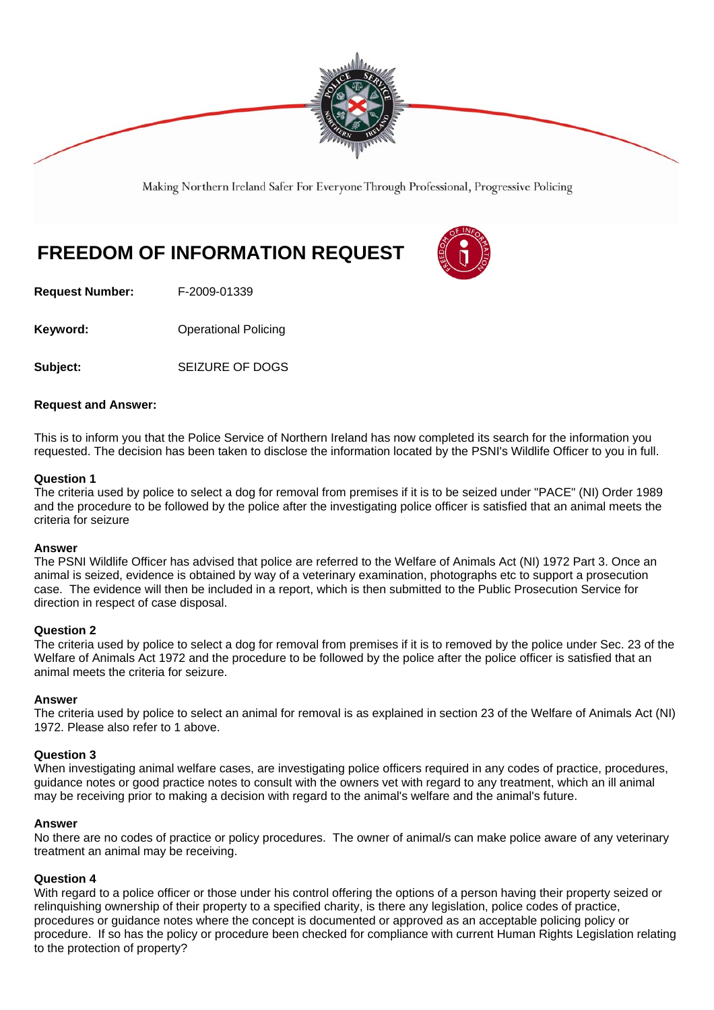

Making Northern Ireland Safer For Everyone Through Professional, Progressive Policing

# **FREEDOM OF INFORMATION REQUEST**



**Request Number:** F-2009-01339

**Keyword: Conservery Operational Policing** 

**Subject:** SEIZURE OF DOGS

## **Request and Answer:**

This is to inform you that the Police Service of Northern Ireland has now completed its search for the information you requested. The decision has been taken to disclose the information located by the PSNI's Wildlife Officer to you in full.

## **Question 1**

The criteria used by police to select a dog for removal from premises if it is to be seized under "PACE" (NI) Order 1989 and the procedure to be followed by the police after the investigating police officer is satisfied that an animal meets the criteria for seizure

#### **Answer**

The PSNI Wildlife Officer has advised that police are referred to the Welfare of Animals Act (NI) 1972 Part 3. Once an animal is seized, evidence is obtained by way of a veterinary examination, photographs etc to support a prosecution case. The evidence will then be included in a report, which is then submitted to the Public Prosecution Service for direction in respect of case disposal.

## **Question 2**

The criteria used by police to select a dog for removal from premises if it is to removed by the police under Sec. 23 of the Welfare of Animals Act 1972 and the procedure to be followed by the police after the police officer is satisfied that an animal meets the criteria for seizure.

#### **Answer**

The criteria used by police to select an animal for removal is as explained in section 23 of the Welfare of Animals Act (NI) 1972. Please also refer to 1 above.

#### **Question 3**

When investigating animal welfare cases, are investigating police officers required in any codes of practice, procedures, guidance notes or good practice notes to consult with the owners vet with regard to any treatment, which an ill animal may be receiving prior to making a decision with regard to the animal's welfare and the animal's future.

#### **Answer**

No there are no codes of practice or policy procedures. The owner of animal/s can make police aware of any veterinary treatment an animal may be receiving.

## **Question 4**

With regard to a police officer or those under his control offering the options of a person having their property seized or relinquishing ownership of their property to a specified charity, is there any legislation, police codes of practice, procedures or guidance notes where the concept is documented or approved as an acceptable policing policy or procedure. If so has the policy or procedure been checked for compliance with current Human Rights Legislation relating to the protection of property?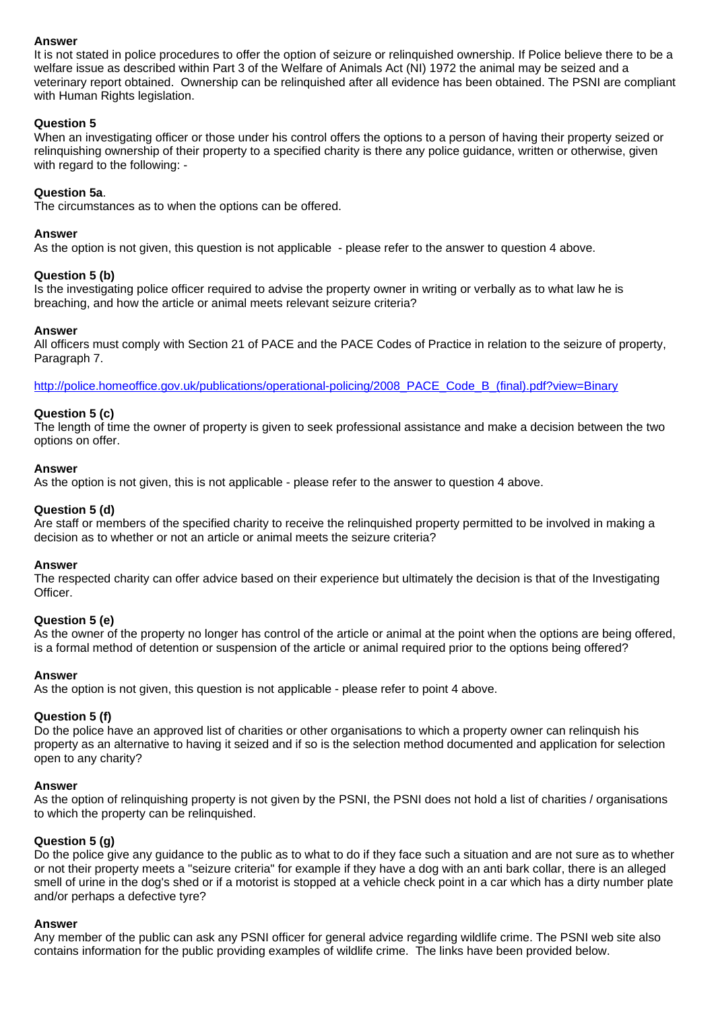## **Answer**

It is not stated in police procedures to offer the option of seizure or relinquished ownership. If Police believe there to be a welfare issue as described within Part 3 of the Welfare of Animals Act (NI) 1972 the animal may be seized and a veterinary report obtained. Ownership can be relinquished after all evidence has been obtained. The PSNI are compliant with Human Rights legislation.

## **Question 5**

When an investigating officer or those under his control offers the options to a person of having their property seized or relinquishing ownership of their property to a specified charity is there any police guidance, written or otherwise, given with regard to the following: -

## **Question 5a**.

The circumstances as to when the options can be offered.

#### **Answer**

As the option is not given, this question is not applicable - please refer to the answer to question 4 above.

## **Question 5 (b)**

Is the investigating police officer required to advise the property owner in writing or verbally as to what law he is breaching, and how the article or animal meets relevant seizure criteria?

#### **Answer**

All officers must comply with Section 21 of PACE and the PACE Codes of Practice in relation to the seizure of property, Paragraph 7.

http://police.homeoffice.gov.uk/publications/operational-policing/2008\_PACE\_Code\_B\_(final).pdf?view=Binary

## **Question 5 (c)**

The length of time the owner of property is given to seek professional assistance and make a decision between the two options on offer.

#### **Answer**

As the option is not given, this is not applicable - please refer to the answer to question 4 above.

#### **Question 5 (d)**

Are staff or members of the specified charity to receive the relinquished property permitted to be involved in making a decision as to whether or not an article or animal meets the seizure criteria?

#### **Answer**

The respected charity can offer advice based on their experience but ultimately the decision is that of the Investigating Officer.

#### **Question 5 (e)**

As the owner of the property no longer has control of the article or animal at the point when the options are being offered, is a formal method of detention or suspension of the article or animal required prior to the options being offered?

#### **Answer**

As the option is not given, this question is not applicable - please refer to point 4 above.

#### **Question 5 (f)**

Do the police have an approved list of charities or other organisations to which a property owner can relinquish his property as an alternative to having it seized and if so is the selection method documented and application for selection open to any charity?

#### **Answer**

As the option of relinquishing property is not given by the PSNI, the PSNI does not hold a list of charities / organisations to which the property can be relinquished.

#### **Question 5 (g)**

Do the police give any guidance to the public as to what to do if they face such a situation and are not sure as to whether or not their property meets a "seizure criteria" for example if they have a dog with an anti bark collar, there is an alleged smell of urine in the dog's shed or if a motorist is stopped at a vehicle check point in a car which has a dirty number plate and/or perhaps a defective tyre?

#### **Answer**

Any member of the public can ask any PSNI officer for general advice regarding wildlife crime. The PSNI web site also contains information for the public providing examples of wildlife crime. The links have been provided below.